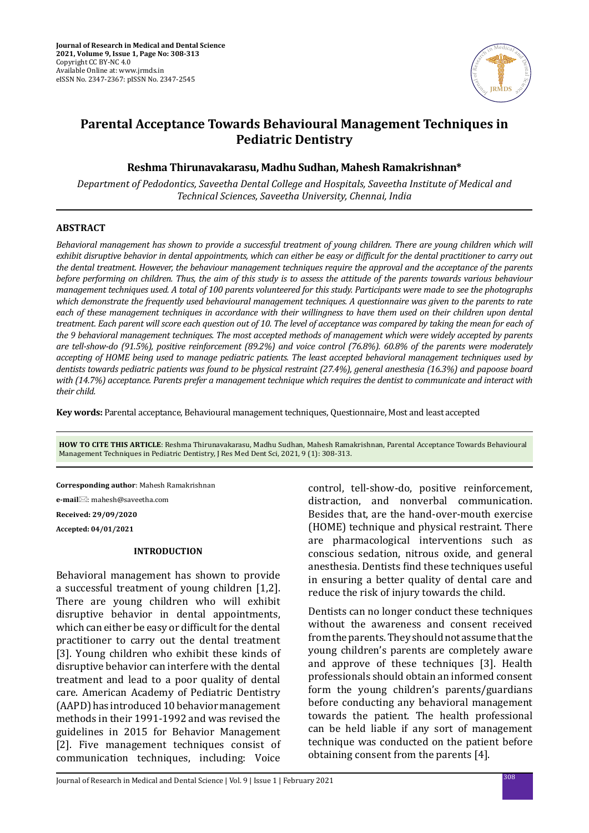

# **Parental Acceptance Towards Behavioural Management Techniques in Pediatric Dentistry**

# **Reshma Thirunavakarasu, Madhu Sudhan, Mahesh Ramakrishnan\***

*Department of Pedodontics, Saveetha Dental College and Hospitals, Saveetha Institute of Medical and Technical Sciences, Saveetha University, Chennai, India*

## **ABSTRACT**

*Behavioral management has shown to provide a successful treatment of young children. There are young children which will exhibit disruptive behavior in dental appointments, which can either be easy or difficult for the dental practitioner to carry out the dental treatment. However, the behaviour management techniques require the approval and the acceptance of the parents before performing on children. Thus, the aim of this study is to assess the attitude of the parents towards various behaviour management techniques used. A total of 100 parents volunteered for this study. Participants were made to see the photographs which demonstrate the frequently used behavioural management techniques. A questionnaire was given to the parents to rate each of these management techniques in accordance with their willingness to have them used on their children upon dental treatment. Each parent will score each question out of 10. The level of acceptance was compared by taking the mean for each of the 9 behavioral management techniques. The most accepted methods of management which were widely accepted by parents are tell-show-do (91.5%), positive reinforcement (89.2%) and voice control (76.8%). 60.8% of the parents were moderately accepting of HOME being used to manage pediatric patients. The least accepted behavioral management techniques used by dentists towards pediatric patients was found to be physical restraint (27.4%), general anesthesia (16.3%) and papoose board with (14.7%) acceptance. Parents prefer a management technique which requires the dentist to communicate and interact with their child.*

**Key words:** Parental acceptance, Behavioural management techniques, Questionnaire, Most and least accepted

**HOW TO CITE THIS ARTICLE**: Reshma Thirunavakarasu, Madhu Sudhan, Mahesh Ramakrishnan, Parental Acceptance Towards Behavioural Management Techniques in Pediatric Dentistry, J Res Med Dent Sci, 2021, 9 (1): 308-313.

**Corresponding author**: Mahesh Ramakrishnan

**e-mail**: mahesh@saveetha.com

**Received: 29/09/2020**

**Accepted: 04/01/2021**

# **INTRODUCTION**

Behavioral management has shown to provide a successful treatment of young children [1,2]. There are young children who will exhibit disruptive behavior in dental appointments, which can either be easy or difficult for the dental practitioner to carry out the dental treatment [3]. Young children who exhibit these kinds of disruptive behavior can interfere with the dental treatment and lead to a poor quality of dental care. American Academy of Pediatric Dentistry (AAPD) has introduced 10 behavior management methods in their 1991-1992 and was revised the guidelines in 2015 for Behavior Management [2]. Five management techniques consist of communication techniques, including: Voice

control, tell-show-do, positive reinforcement, distraction, and nonverbal communication. Besides that, are the hand-over-mouth exercise (HOME) technique and physical restraint. There are pharmacological interventions such as conscious sedation, nitrous oxide, and general anesthesia. Dentists find these techniques useful in ensuring a better quality of dental care and reduce the risk of injury towards the child.

Dentists can no longer conduct these techniques without the awareness and consent received from the parents. They should not assume that the young children's parents are completely aware and approve of these techniques [3]. Health professionals should obtain an informed consent form the young children's parents/guardians before conducting any behavioral management towards the patient. The health professional can be held liable if any sort of management technique was conducted on the patient before obtaining consent from the parents [4].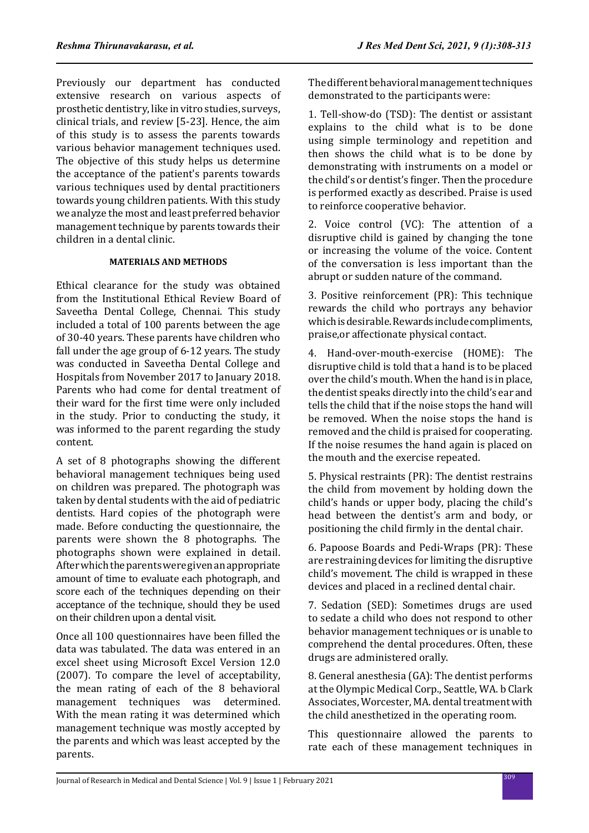Previously our department has conducted extensive research on various aspects of prosthetic dentistry, like in vitro studies, surveys, clinical trials, and review [5-23]. Hence, the aim of this study is to assess the parents towards various behavior management techniques used. The objective of this study helps us determine the acceptance of the patient's parents towards various techniques used by dental practitioners towards young children patients. With this study we analyze the most and least preferred behavior management technique by parents towards their children in a dental clinic.

## **MATERIALS AND METHODS**

Ethical clearance for the study was obtained from the Institutional Ethical Review Board of Saveetha Dental College, Chennai. This study included a total of 100 parents between the age of 30-40 years. These parents have children who fall under the age group of 6-12 years. The study was conducted in Saveetha Dental College and Hospitals from November 2017 to January 2018. Parents who had come for dental treatment of their ward for the first time were only included in the study. Prior to conducting the study, it was informed to the parent regarding the study content.

A set of 8 photographs showing the different behavioral management techniques being used on children was prepared. The photograph was taken by dental students with the aid of pediatric dentists. Hard copies of the photograph were made. Before conducting the questionnaire, the parents were shown the 8 photographs. The photographs shown were explained in detail. After which the parents were given an appropriate amount of time to evaluate each photograph, and score each of the techniques depending on their acceptance of the technique, should they be used on their children upon a dental visit.

Once all 100 questionnaires have been filled the data was tabulated. The data was entered in an excel sheet using Microsoft Excel Version 12.0 (2007). To compare the level of acceptability, the mean rating of each of the 8 behavioral management techniques was determined. With the mean rating it was determined which management technique was mostly accepted by the parents and which was least accepted by the parents.

The different behavioral management techniques demonstrated to the participants were:

1. Tell-show-do (TSD): The dentist or assistant explains to the child what is to be done using simple terminology and repetition and then shows the child what is to be done by demonstrating with instruments on a model or the child's or dentist's finger. Then the procedure is performed exactly as described. Praise is used to reinforce cooperative behavior.

2. Voice control (VC): The attention of a disruptive child is gained by changing the tone or increasing the volume of the voice. Content of the conversation is less important than the abrupt or sudden nature of the command.

3. Positive reinforcement (PR): This technique rewards the child who portrays any behavior which is desirable. Rewards include compliments, praise,or affectionate physical contact.

4. Hand-over-mouth-exercise (HOME): The disruptive child is told that a hand is to be placed over the child's mouth. When the hand is in place, the dentist speaks directly into the child's ear and tells the child that if the noise stops the hand will be removed. When the noise stops the hand is removed and the child is praised for cooperating. If the noise resumes the hand again is placed on the mouth and the exercise repeated.

5. Physical restraints (PR): The dentist restrains the child from movement by holding down the child's hands or upper body, placing the child's head between the dentist's arm and body, or positioning the child firmly in the dental chair.

6. Papoose Boards and Pedi-Wraps (PR): These are restraining devices for limiting the disruptive child's movement. The child is wrapped in these devices and placed in a reclined dental chair.

7. Sedation (SED): Sometimes drugs are used to sedate a child who does not respond to other behavior management techniques or is unable to comprehend the dental procedures. Often, these drugs are administered orally.

8. General anesthesia (GA): The dentist performs at the Olympic Medical Corp., Seattle, WA. b Clark Associates, Worcester, MA. dental treatment with the child anesthetized in the operating room.

This questionnaire allowed the parents to rate each of these management techniques in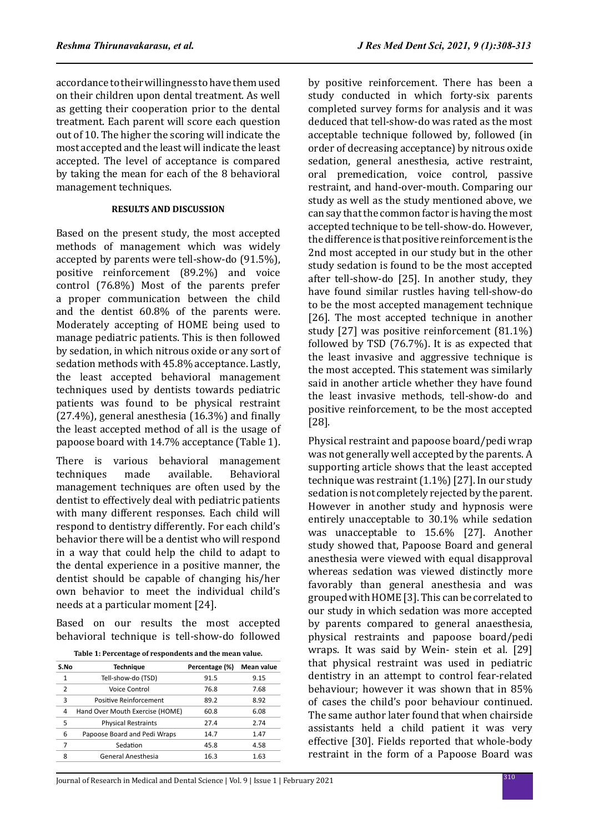management techniques.

accordance to their willingness to have them used on their children upon dental treatment. As well as getting their cooperation prior to the dental treatment. Each parent will score each question out of 10. The higher the scoring will indicate the most accepted and the least will indicate the least accepted. The level of acceptance is compared by taking the mean for each of the 8 behavioral

## **RESULTS AND DISCUSSION**

Based on the present study, the most accepted methods of management which was widely accepted by parents were tell-show-do (91.5%), positive reinforcement (89.2%) and voice control (76.8%) Most of the parents prefer a proper communication between the child and the dentist 60.8% of the parents were. Moderately accepting of HOME being used to manage pediatric patients. This is then followed by sedation, in which nitrous oxide or any sort of sedation methods with 45.8% acceptance. Lastly, the least accepted behavioral management techniques used by dentists towards pediatric patients was found to be physical restraint (27.4%), general anesthesia (16.3%) and finally the least accepted method of all is the usage of papoose board with 14.7% acceptance (Table 1).

There is various behavioral management<br>techniques made available. Behavioral **Behavioral** management techniques are often used by the dentist to effectively deal with pediatric patients with many different responses. Each child will respond to dentistry differently. For each child's behavior there will be a dentist who will respond in a way that could help the child to adapt to the dental experience in a positive manner, the dentist should be capable of changing his/her own behavior to meet the individual child's needs at a particular moment [24].

Based on our results the most accepted behavioral technique is tell-show-do followed

| Table 1: Percentage of respondents and the mean value. |  |  |  |  |  |  |  |  |  |
|--------------------------------------------------------|--|--|--|--|--|--|--|--|--|
|--------------------------------------------------------|--|--|--|--|--|--|--|--|--|

| S.No         | <b>Technique</b>                | Percentage (%) | Mean value |
|--------------|---------------------------------|----------------|------------|
| $\mathbf{1}$ | Tell-show-do (TSD)              | 91.5           | 9.15       |
| 2            | Voice Control                   | 76.8           | 7.68       |
| 3            | Positive Reinforcement          | 89.2           | 8.92       |
| 4            | Hand Over Mouth Exercise (HOME) | 60.8           | 6.08       |
| 5            | <b>Physical Restraints</b>      | 27.4           | 2.74       |
| 6            | Papoose Board and Pedi Wraps    | 14.7           | 1.47       |
| 7            | Sedation                        | 45.8           | 4.58       |
| 8            | General Anesthesia              | 16.3           | 1.63       |
|              |                                 |                |            |

by positive reinforcement. There has been a study conducted in which forty-six parents completed survey forms for analysis and it was deduced that tell-show-do was rated as the most acceptable technique followed by, followed (in order of decreasing acceptance) by nitrous oxide sedation, general anesthesia, active restraint, oral premedication, voice control, passive restraint, and hand-over-mouth. Comparing our study as well as the study mentioned above, we can say that the common factor is having the most accepted technique to be tell-show-do. However, the difference is that positive reinforcement is the 2nd most accepted in our study but in the other study sedation is found to be the most accepted after tell-show-do [25]. In another study, they have found similar rustles having tell-show-do to be the most accepted management technique [26]. The most accepted technique in another study [27] was positive reinforcement (81.1%) followed by TSD (76.7%). It is as expected that the least invasive and aggressive technique is the most accepted. This statement was similarly said in another article whether they have found the least invasive methods, tell-show-do and positive reinforcement, to be the most accepted [28].

Physical restraint and papoose board/pedi wrap was not generally well accepted by the parents. A supporting article shows that the least accepted technique was restraint (1.1%) [27]. In our study sedation is not completely rejected by the parent. However in another study and hypnosis were entirely unacceptable to 30.1% while sedation was unacceptable to 15.6% [27]. Another study showed that, Papoose Board and general anesthesia were viewed with equal disapproval whereas sedation was viewed distinctly more favorably than general anesthesia and was grouped with HOME [3]. This can be correlated to our study in which sedation was more accepted by parents compared to general anaesthesia, physical restraints and papoose board/pedi wraps. It was said by Wein- stein et al. [29] that physical restraint was used in pediatric dentistry in an attempt to control fear-related behaviour; however it was shown that in 85% of cases the child's poor behaviour continued. The same author later found that when chairside assistants held a child patient it was very effective [30]. Fields reported that whole-body restraint in the form of a Papoose Board was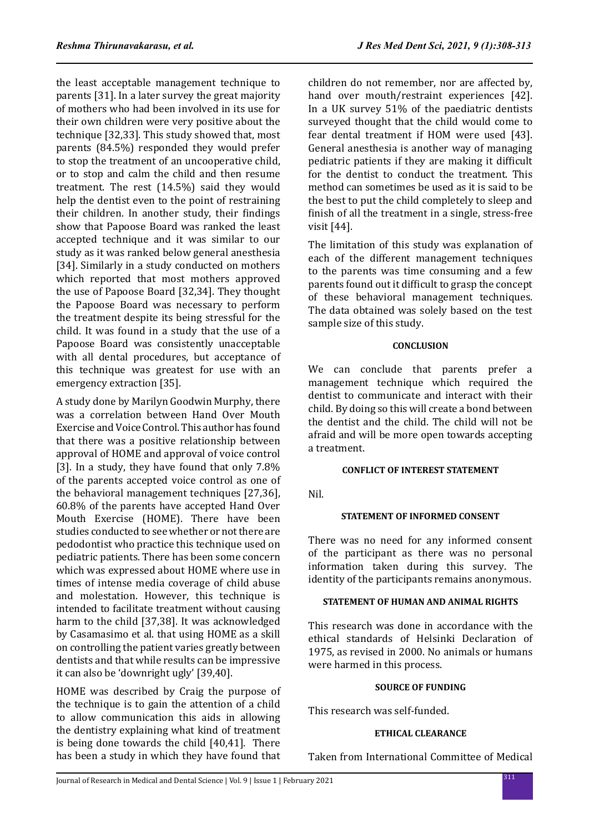the least acceptable management technique to parents [31]. In a later survey the great majority of mothers who had been involved in its use for their own children were very positive about the technique [32,33]. This study showed that, most parents (84.5%) responded they would prefer to stop the treatment of an uncooperative child, or to stop and calm the child and then resume treatment. The rest (14.5%) said they would help the dentist even to the point of restraining their children. In another study, their findings show that Papoose Board was ranked the least accepted technique and it was similar to our study as it was ranked below general anesthesia [34]. Similarly in a study conducted on mothers which reported that most mothers approved the use of Papoose Board [32,34]. They thought the Papoose Board was necessary to perform the treatment despite its being stressful for the child. It was found in a study that the use of a Papoose Board was consistently unacceptable with all dental procedures, but acceptance of this technique was greatest for use with an emergency extraction [35].

A study done by Marilyn Goodwin Murphy, there was a correlation between Hand Over Mouth Exercise and Voice Control. This author has found that there was a positive relationship between approval of HOME and approval of voice control [3]. In a study, they have found that only 7.8% of the parents accepted voice control as one of the behavioral management techniques [27,36], 60.8% of the parents have accepted Hand Over Mouth Exercise (HOME). There have been studies conducted to see whether or not there are pedodontist who practice this technique used on pediatric patients. There has been some concern which was expressed about HOME where use in times of intense media coverage of child abuse and molestation. However, this technique is intended to facilitate treatment without causing harm to the child [37,38]. It was acknowledged by Casamasimo et al. that using HOME as a skill on controlling the patient varies greatly between dentists and that while results can be impressive it can also be 'downright ugly' [39,40].

HOME was described by Craig the purpose of the technique is to gain the attention of a child to allow communication this aids in allowing the dentistry explaining what kind of treatment is being done towards the child [40,41]. There has been a study in which they have found that children do not remember, nor are affected by, hand over mouth/restraint experiences [42]. In a UK survey 51% of the paediatric dentists surveyed thought that the child would come to fear dental treatment if HOM were used [43]. General anesthesia is another way of managing pediatric patients if they are making it difficult for the dentist to conduct the treatment. This method can sometimes be used as it is said to be the best to put the child completely to sleep and finish of all the treatment in a single, stress-free visit [44].

The limitation of this study was explanation of each of the different management techniques to the parents was time consuming and a few parents found out it difficult to grasp the concept of these behavioral management techniques. The data obtained was solely based on the test sample size of this study.

# **CONCLUSION**

We can conclude that parents prefer a management technique which required the dentist to communicate and interact with their child. By doing so this will create a bond between the dentist and the child. The child will not be afraid and will be more open towards accepting a treatment.

## **CONFLICT OF INTEREST STATEMENT**

Nil.

## **STATEMENT OF INFORMED CONSENT**

There was no need for any informed consent of the participant as there was no personal information taken during this survey. The identity of the participants remains anonymous.

## **STATEMENT OF HUMAN AND ANIMAL RIGHTS**

This research was done in accordance with the ethical standards of Helsinki Declaration of 1975, as revised in 2000. No animals or humans were harmed in this process.

## **SOURCE OF FUNDING**

This research was self-funded.

#### **ETHICAL CLEARANCE**

Taken from International Committee of Medical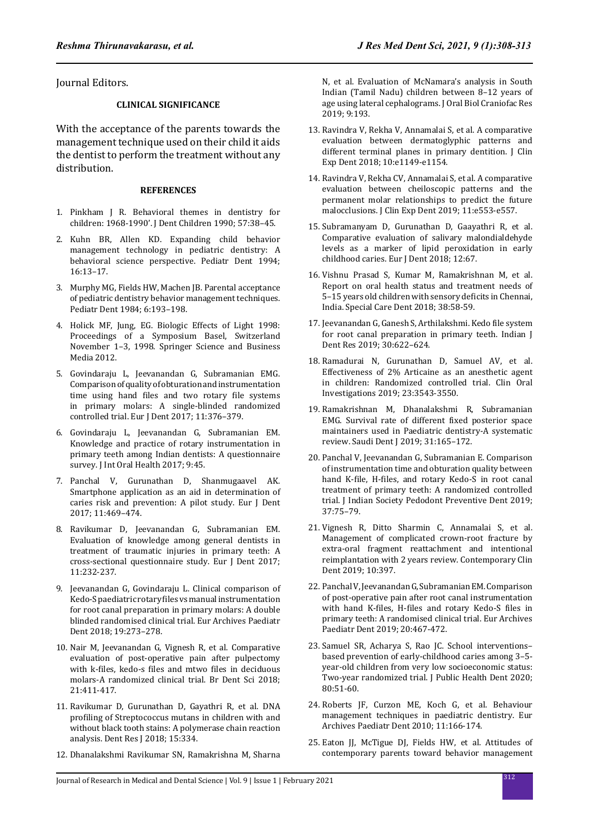Journal Editors.

#### **CLINICAL SIGNIFICANCE**

With the acceptance of the parents towards the management technique used on their child it aids the dentist to perform the treatment without any distribution.

#### **REFERENCES**

- 1. Pinkham J R. Behavioral themes in dentistry for children: 1968-1990'. J Dent Children 1990; 57:38–45.
- 2. Kuhn BR, Allen KD. Expanding child behavior management technology in pediatric dentistry: A behavioral science perspective. Pediatr Dent 1994; 16:13–17.
- 3. Murphy MG, Fields HW, Machen JB. Parental acceptance of pediatric dentistry behavior management techniques. Pediatr Dent 1984; 6:193–198.
- 4. Holick MF, Jung, EG. Biologic Effects of Light 1998: Proceedings of a Symposium Basel, Switzerland November 1–3, 1998. Springer Science and Business Media 2012.
- 5. Govindaraju L, Jeevanandan G, Subramanian EMG. Comparison of quality of obturation and instrumentation time using hand files and two rotary file systems in primary molars: A single-blinded randomized controlled trial. Eur J Dent 2017; 11:376–379.
- 6. Govindaraju L, Jeevanandan G, Subramanian EM. Knowledge and practice of rotary instrumentation in primary teeth among Indian dentists: A questionnaire survey. J Int Oral Health 2017; 9:45.
- 7. Panchal V, Gurunathan D, Shanmugaavel AK. Smartphone application as an aid in determination of caries risk and prevention: A pilot study. Eur J Dent 2017; 11:469–474.
- 8. Ravikumar D, Jeevanandan G, Subramanian EM. Evaluation of knowledge among general dentists in treatment of traumatic injuries in primary teeth: A cross-sectional questionnaire study. Eur J Dent 2017; 11:232-237.
- 9. Jeevanandan G, Govindaraju L. Clinical comparison of Kedo-S paediatric rotary files vs manual instrumentation for root canal preparation in primary molars: A double blinded randomised clinical trial. Eur Archives Paediatr Dent 2018; 19:273–278.
- 10. Nair M, Jeevanandan G, Vignesh R, et al. Comparative evaluation of post-operative pain after pulpectomy with k-files, kedo-s files and mtwo files in deciduous molars-A randomized clinical trial. Br Dent Sci 2018; 21:411-417.
- 11. Ravikumar D, Gurunathan D, Gayathri R, et al. DNA profiling of Streptococcus mutans in children with and without black tooth stains: A polymerase chain reaction analysis. Dent Res J 2018; 15:334.
- 12. Dhanalakshmi Ravikumar SN, Ramakrishna M, Sharna

N, et al. Evaluation of McNamara's analysis in South Indian (Tamil Nadu) children between 8–12 years of age using lateral cephalograms. J Oral Biol Craniofac Res 2019; 9:193.

- 13. Ravindra V, Rekha V, Annamalai S, et al. A comparative evaluation between dermatoglyphic patterns and different terminal planes in primary dentition. J Clin Exp Dent 2018; 10:e1149-e1154.
- 14. Ravindra V, Rekha CV, Annamalai S, et al. A comparative evaluation between cheiloscopic patterns and the permanent molar relationships to predict the future malocclusions. J Clin Exp Dent 2019; 11:e553-e557.
- 15. Subramanyam D, Gurunathan D, Gaayathri R, et al. Comparative evaluation of salivary malondialdehyde levels as a marker of lipid peroxidation in early childhood caries. Eur J Dent 2018; 12:67.
- 16. Vishnu Prasad S, Kumar M, Ramakrishnan M, et al. Report on oral health status and treatment needs of 5–15 years old children with sensory deficits in Chennai, India. Special Care Dent 2018; 38:58-59.
- 17. Jeevanandan G, Ganesh S, Arthilakshmi. Kedo file system for root canal preparation in primary teeth. Indian J Dent Res 2019; 30:622–624.
- 18. Ramadurai N, Gurunathan D, Samuel AV, et al. Effectiveness of 2% Articaine as an anesthetic agent in children: Randomized controlled trial. Clin Oral Investigations 2019; 23:3543-3550.
- 19. Ramakrishnan M, Dhanalakshmi R, Subramanian EMG. Survival rate of different fixed posterior space maintainers used in Paediatric dentistry-A systematic review. Saudi Dent J 2019; 31:165–172.
- 20. Panchal V, Jeevanandan G, Subramanian E. Comparison of instrumentation time and obturation quality between hand K-file, H-files, and rotary Kedo-S in root canal treatment of primary teeth: A randomized controlled trial. J Indian Society Pedodont Preventive Dent 2019; 37:75–79.
- 21. Vignesh R, Ditto Sharmin C, Annamalai S, et al. Management of complicated crown-root fracture by extra-oral fragment reattachment and intentional reimplantation with 2 years review. Contemporary Clin Dent 2019; 10:397.
- 22. Panchal V, Jeevanandan G, Subramanian EM. Comparison of post-operative pain after root canal instrumentation with hand K-files, H-files and rotary Kedo-S files in primary teeth: A randomised clinical trial. Eur Archives Paediatr Dent 2019; 20:467-472.
- 23. Samuel SR, Acharya S, Rao JC. School interventions– based prevention of early-childhood caries among 3–5 year-old children from very low socioeconomic status: Two-year randomized trial. J Public Health Dent 2020; 80:51-60.
- 24. Roberts JF, Curzon ME, Koch G, et al. Behaviour management techniques in paediatric dentistry. Eur Archives Paediatr Dent 2010; 11:166-174.
- 25. Eaton JJ, McTigue DJ, Fields HW, et al. Attitudes of contemporary parents toward behavior management